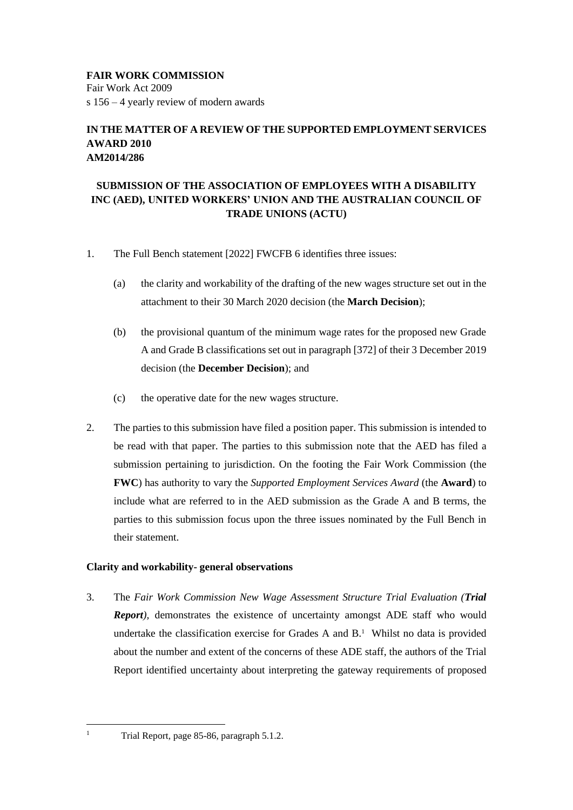**FAIR WORK COMMISSION** Fair Work Act 2009 s 156 – 4 yearly review of modern awards

# **IN THE MATTER OF A REVIEW OF THE SUPPORTED EMPLOYMENT SERVICES AWARD 2010 AM2014/286**

# **SUBMISSION OF THE ASSOCIATION OF EMPLOYEES WITH A DISABILITY INC (AED), UNITED WORKERS' UNION AND THE AUSTRALIAN COUNCIL OF TRADE UNIONS (ACTU)**

- 1. The Full Bench statement [2022] FWCFB 6 identifies three issues:
	- (a) the clarity and workability of the drafting of the new wages structure set out in the attachment to their 30 March 2020 decision (the **March Decision**);
	- (b) the provisional quantum of the minimum wage rates for the proposed new Grade A and Grade B classifications set out in paragraph [372] of their 3 December 2019 decision (the **December Decision**); and
	- (c) the operative date for the new wages structure.
- 2. The parties to this submission have filed a position paper. This submission is intended to be read with that paper. The parties to this submission note that the AED has filed a submission pertaining to jurisdiction. On the footing the Fair Work Commission (the **FWC**) has authority to vary the *Supported Employment Services Award* (the **Award**) to include what are referred to in the AED submission as the Grade A and B terms, the parties to this submission focus upon the three issues nominated by the Full Bench in their statement.

## **Clarity and workability- general observations**

3. The *Fair Work Commission New Wage Assessment Structure Trial Evaluation (Trial Report),* demonstrates the existence of uncertainty amongst ADE staff who would undertake the classification exercise for Grades A and  $B<sup>1</sup>$  Whilst no data is provided about the number and extent of the concerns of these ADE staff, the authors of the Trial Report identified uncertainty about interpreting the gateway requirements of proposed

<sup>&</sup>lt;sup>1</sup> Trial Report, page 85-86, paragraph 5.1.2.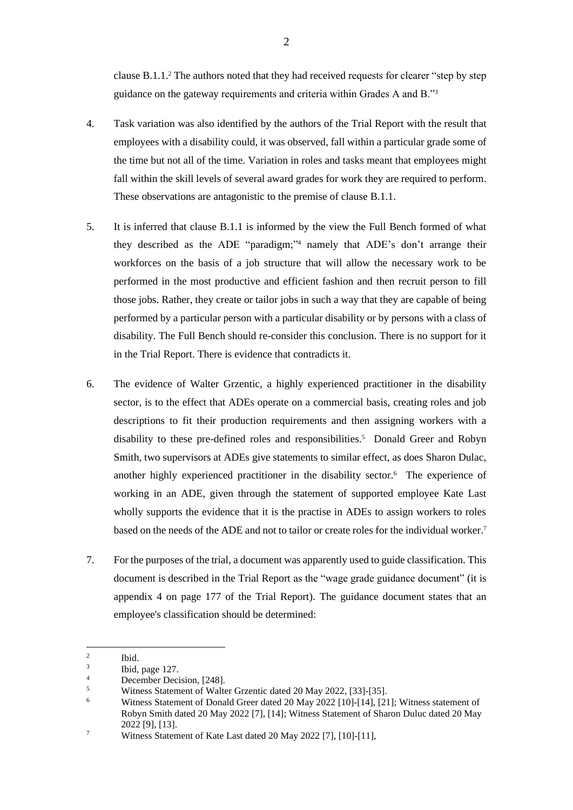clause B.1.1. <sup>2</sup> The authors noted that they had received requests for clearer "step by step guidance on the gateway requirements and criteria within Grades A and B."<sup>3</sup>

- 4. Task variation was also identified by the authors of the Trial Report with the result that employees with a disability could, it was observed, fall within a particular grade some of the time but not all of the time. Variation in roles and tasks meant that employees might fall within the skill levels of several award grades for work they are required to perform. These observations are antagonistic to the premise of clause B.1.1.
- 5. It is inferred that clause B.1.1 is informed by the view the Full Bench formed of what they described as the ADE "paradigm;"<sup>4</sup> namely that ADE's don't arrange their workforces on the basis of a job structure that will allow the necessary work to be performed in the most productive and efficient fashion and then recruit person to fill those jobs. Rather, they create or tailor jobs in such a way that they are capable of being performed by a particular person with a particular disability or by persons with a class of disability. The Full Bench should re-consider this conclusion. There is no support for it in the Trial Report. There is evidence that contradicts it.
- 6. The evidence of Walter Grzentic, a highly experienced practitioner in the disability sector, is to the effect that ADEs operate on a commercial basis, creating roles and job descriptions to fit their production requirements and then assigning workers with a disability to these pre-defined roles and responsibilities.<sup>5</sup> Donald Greer and Robyn Smith, two supervisors at ADEs give statements to similar effect, as does Sharon Dulac, another highly experienced practitioner in the disability sector.<sup>6</sup> The experience of working in an ADE, given through the statement of supported employee Kate Last wholly supports the evidence that it is the practise in ADEs to assign workers to roles based on the needs of the ADE and not to tailor or create roles for the individual worker. 7
- 7. For the purposes of the trial, a document was apparently used to guide classification. This document is described in the Trial Report as the "wage grade guidance document" (it is appendix 4 on page 177 of the Trial Report). The guidance document states that an employee's classification should be determined:

<sup>2</sup> Ibid.

<sup>3</sup> Ibid, page 127.

 $\frac{4}{5}$  December Decision, [248].

 $\frac{5}{100}$  Witness Statement of Walter Grzentic dated 20 May 2022, [33]-[35].

<sup>6</sup> Witness Statement of Donald Greer dated 20 May 2022 [10]-[14], [21]; Witness statement of Robyn Smith dated 20 May 2022 [7], [14]; Witness Statement of Sharon Duluc dated 20 May 2022 [9], [13].

<sup>&</sup>lt;sup>7</sup> Witness Statement of Kate Last dated 20 May 2022 [7], [10]-[11],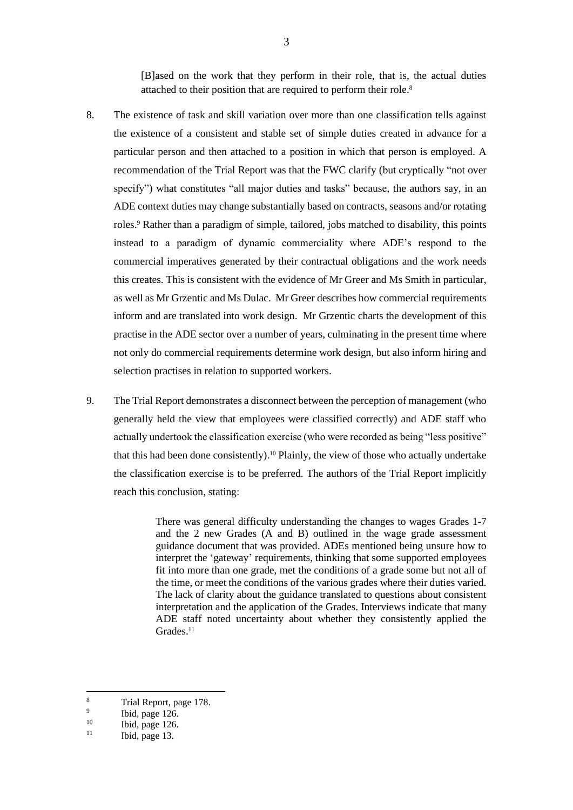[B]ased on the work that they perform in their role, that is, the actual duties attached to their position that are required to perform their role. 8

- 8. The existence of task and skill variation over more than one classification tells against the existence of a consistent and stable set of simple duties created in advance for a particular person and then attached to a position in which that person is employed. A recommendation of the Trial Report was that the FWC clarify (but cryptically "not over specify") what constitutes "all major duties and tasks" because, the authors say, in an ADE context duties may change substantially based on contracts, seasons and/or rotating roles.<sup>9</sup> Rather than a paradigm of simple, tailored, jobs matched to disability, this points instead to a paradigm of dynamic commerciality where ADE's respond to the commercial imperatives generated by their contractual obligations and the work needs this creates. This is consistent with the evidence of Mr Greer and Ms Smith in particular, as well as Mr Grzentic and Ms Dulac. Mr Greer describes how commercial requirements inform and are translated into work design. Mr Grzentic charts the development of this practise in the ADE sector over a number of years, culminating in the present time where not only do commercial requirements determine work design, but also inform hiring and selection practises in relation to supported workers.
- 9. The Trial Report demonstrates a disconnect between the perception of management (who generally held the view that employees were classified correctly) and ADE staff who actually undertook the classification exercise (who were recorded as being "less positive" that this had been done consistently).<sup>10</sup> Plainly, the view of those who actually undertake the classification exercise is to be preferred. The authors of the Trial Report implicitly reach this conclusion, stating:

There was general difficulty understanding the changes to wages Grades 1-7 and the 2 new Grades (A and B) outlined in the wage grade assessment guidance document that was provided. ADEs mentioned being unsure how to interpret the 'gateway' requirements, thinking that some supported employees fit into more than one grade, met the conditions of a grade some but not all of the time, or meet the conditions of the various grades where their duties varied. The lack of clarity about the guidance translated to questions about consistent interpretation and the application of the Grades. Interviews indicate that many ADE staff noted uncertainty about whether they consistently applied the  $Grades.<sup>11</sup>$ 

<sup>8</sup> Trial Report, page 178.

<sup>9</sup> Ibid, page 126.

 $10$  Ibid, page 126.

Ibid, page 13.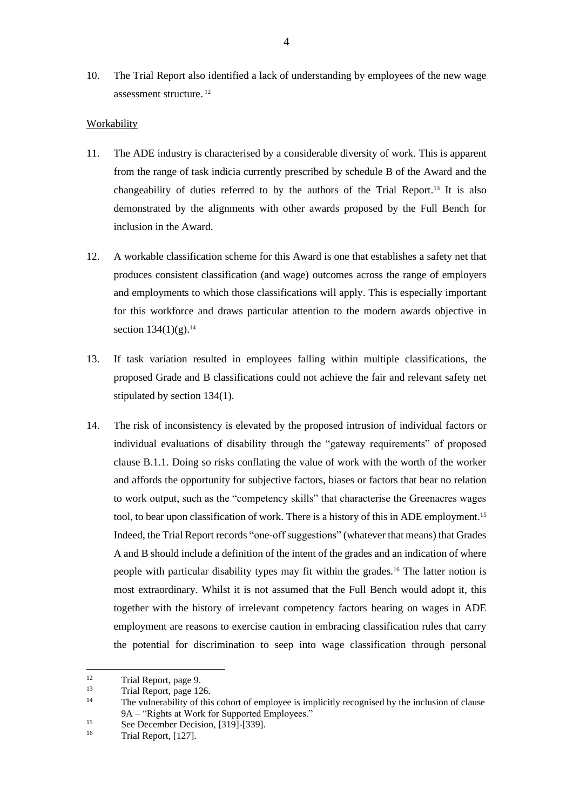10. The Trial Report also identified a lack of understanding by employees of the new wage assessment structure. 12

### Workability

- 11. The ADE industry is characterised by a considerable diversity of work. This is apparent from the range of task indicia currently prescribed by schedule B of the Award and the changeability of duties referred to by the authors of the Trial Report.<sup>13</sup> It is also demonstrated by the alignments with other awards proposed by the Full Bench for inclusion in the Award.
- 12. A workable classification scheme for this Award is one that establishes a safety net that produces consistent classification (and wage) outcomes across the range of employers and employments to which those classifications will apply. This is especially important for this workforce and draws particular attention to the modern awards objective in section 134(1)(g). 14
- 13. If task variation resulted in employees falling within multiple classifications, the proposed Grade and B classifications could not achieve the fair and relevant safety net stipulated by section 134(1).
- 14. The risk of inconsistency is elevated by the proposed intrusion of individual factors or individual evaluations of disability through the "gateway requirements" of proposed clause B.1.1. Doing so risks conflating the value of work with the worth of the worker and affords the opportunity for subjective factors, biases or factors that bear no relation to work output, such as the "competency skills" that characterise the Greenacres wages tool, to bear upon classification of work. There is a history of this in ADE employment.<sup>15</sup> Indeed, the Trial Report records "one-off suggestions" (whatever that means) that Grades A and B should include a definition of the intent of the grades and an indication of where people with particular disability types may fit within the grades.<sup>16</sup> The latter notion is most extraordinary. Whilst it is not assumed that the Full Bench would adopt it, this together with the history of irrelevant competency factors bearing on wages in ADE employment are reasons to exercise caution in embracing classification rules that carry the potential for discrimination to seep into wage classification through personal

 $12$  Trial Report, page 9.

 $13$  Trial Report, page 126.

The vulnerability of this cohort of employee is implicitly recognised by the inclusion of clause 9A – "Rights at Work for Supported Employees."

<sup>&</sup>lt;sup>15</sup> See December Decision,  $[319]$ - $[339]$ .<br><sup>16</sup> Trial Bonort,  $[127]$ 

Trial Report, [127].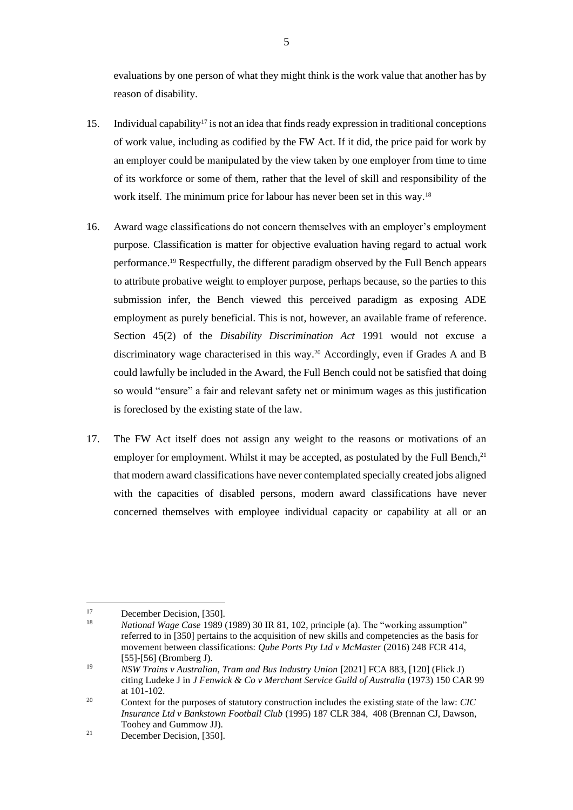evaluations by one person of what they might think is the work value that another has by reason of disability.

- 15. Individual capability<sup>17</sup> is not an idea that finds ready expression in traditional conceptions of work value, including as codified by the FW Act. If it did, the price paid for work by an employer could be manipulated by the view taken by one employer from time to time of its workforce or some of them, rather that the level of skill and responsibility of the work itself. The minimum price for labour has never been set in this way.<sup>18</sup>
- 16. Award wage classifications do not concern themselves with an employer's employment purpose. Classification is matter for objective evaluation having regard to actual work performance. <sup>19</sup> Respectfully, the different paradigm observed by the Full Bench appears to attribute probative weight to employer purpose, perhaps because, so the parties to this submission infer, the Bench viewed this perceived paradigm as exposing ADE employment as purely beneficial. This is not, however, an available frame of reference. Section 45(2) of the *Disability Discrimination Act* 1991 would not excuse a discriminatory wage characterised in this way.<sup>20</sup> Accordingly, even if Grades A and B could lawfully be included in the Award, the Full Bench could not be satisfied that doing so would "ensure" a fair and relevant safety net or minimum wages as this justification is foreclosed by the existing state of the law.
- 17. The FW Act itself does not assign any weight to the reasons or motivations of an employer for employment. Whilst it may be accepted, as postulated by the Full Bench,<sup>21</sup> that modern award classifications have never contemplated specially created jobs aligned with the capacities of disabled persons, modern award classifications have never concerned themselves with employee individual capacity or capability at all or an

<sup>&</sup>lt;sup>17</sup> December Decision, [350].

<sup>18</sup> *National Wage Case* 1989 (1989) 30 IR 81, 102, principle (a). The "working assumption" referred to in [350] pertains to the acquisition of new skills and competencies as the basis for movement between classifications: *Qube Ports Pty Ltd v McMaster* (2016) 248 FCR 414, [55]-[56] (Bromberg J).

<sup>19</sup> *NSW Trains v Australian, Tram and Bus Industry Union* [2021] FCA 883, [120] (Flick J) citing Ludeke J in *J Fenwick & Co v Merchant Service Guild of Australia* (1973) 150 CAR 99 at 101-102.

<sup>20</sup> Context for the purposes of statutory construction includes the existing state of the law: *CIC Insurance Ltd v Bankstown Football Club* (1995) 187 CLR 384, 408 (Brennan CJ, Dawson, Toohey and Gummow JJ).

<sup>21</sup> December Decision, [350].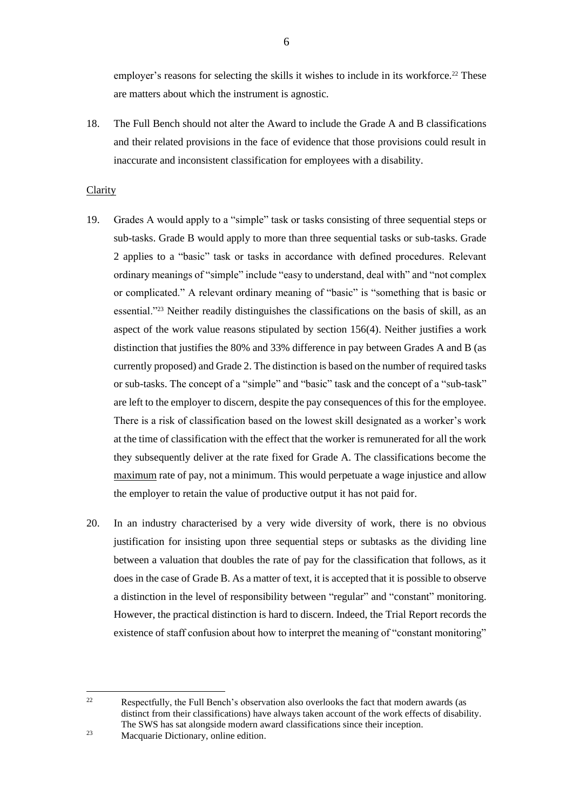employer's reasons for selecting the skills it wishes to include in its workforce.<sup>22</sup> These are matters about which the instrument is agnostic.

18. The Full Bench should not alter the Award to include the Grade A and B classifications and their related provisions in the face of evidence that those provisions could result in inaccurate and inconsistent classification for employees with a disability.

#### **Clarity**

- 19. Grades A would apply to a "simple" task or tasks consisting of three sequential steps or sub-tasks. Grade B would apply to more than three sequential tasks or sub-tasks. Grade 2 applies to a "basic" task or tasks in accordance with defined procedures. Relevant ordinary meanings of "simple" include "easy to understand, deal with" and "not complex or complicated." A relevant ordinary meaning of "basic" is "something that is basic or essential."<sup>23</sup> Neither readily distinguishes the classifications on the basis of skill, as an aspect of the work value reasons stipulated by section 156(4). Neither justifies a work distinction that justifies the 80% and 33% difference in pay between Grades A and B (as currently proposed) and Grade 2. The distinction is based on the number of required tasks or sub-tasks. The concept of a "simple" and "basic" task and the concept of a "sub-task" are left to the employer to discern, despite the pay consequences of this for the employee. There is a risk of classification based on the lowest skill designated as a worker's work at the time of classification with the effect that the worker is remunerated for all the work they subsequently deliver at the rate fixed for Grade A. The classifications become the maximum rate of pay, not a minimum. This would perpetuate a wage injustice and allow the employer to retain the value of productive output it has not paid for.
- 20. In an industry characterised by a very wide diversity of work, there is no obvious justification for insisting upon three sequential steps or subtasks as the dividing line between a valuation that doubles the rate of pay for the classification that follows, as it does in the case of Grade B. As a matter of text, it is accepted that it is possible to observe a distinction in the level of responsibility between "regular" and "constant" monitoring. However, the practical distinction is hard to discern. Indeed, the Trial Report records the existence of staff confusion about how to interpret the meaning of "constant monitoring"

<sup>&</sup>lt;sup>22</sup> Respectfully, the Full Bench's observation also overlooks the fact that modern awards (as distinct from their classifications) have always taken account of the work effects of disability. The SWS has sat alongside modern award classifications since their inception.

<sup>23</sup> Macquarie Dictionary, online edition.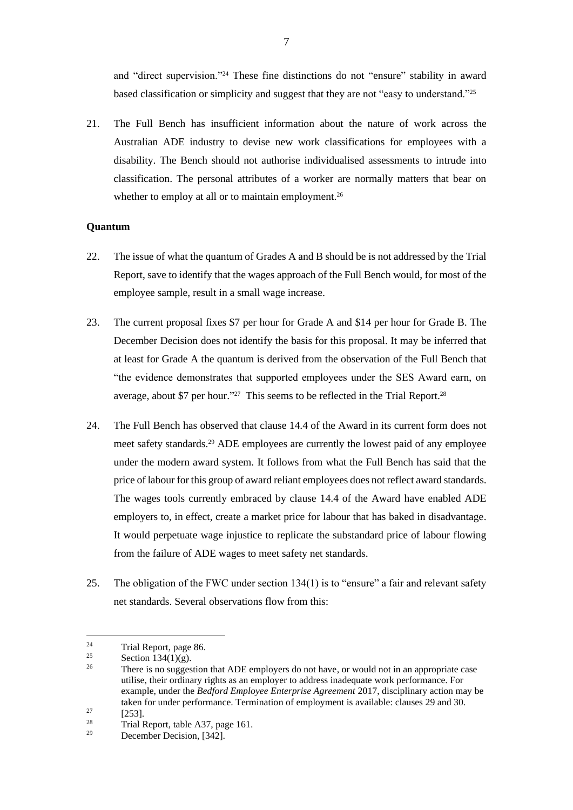and "direct supervision."<sup>24</sup> These fine distinctions do not "ensure" stability in award based classification or simplicity and suggest that they are not "easy to understand."<sup>25</sup>

21. The Full Bench has insufficient information about the nature of work across the Australian ADE industry to devise new work classifications for employees with a disability. The Bench should not authorise individualised assessments to intrude into classification. The personal attributes of a worker are normally matters that bear on whether to employ at all or to maintain employment.<sup>26</sup>

### **Quantum**

- 22. The issue of what the quantum of Grades A and B should be is not addressed by the Trial Report, save to identify that the wages approach of the Full Bench would, for most of the employee sample, result in a small wage increase.
- 23. The current proposal fixes \$7 per hour for Grade A and \$14 per hour for Grade B. The December Decision does not identify the basis for this proposal. It may be inferred that at least for Grade A the quantum is derived from the observation of the Full Bench that "the evidence demonstrates that supported employees under the SES Award earn, on average, about \$7 per hour."<sup>27</sup> This seems to be reflected in the Trial Report.<sup>28</sup>
- 24. The Full Bench has observed that clause 14.4 of the Award in its current form does not meet safety standards.<sup>29</sup> ADE employees are currently the lowest paid of any employee under the modern award system. It follows from what the Full Bench has said that the price of labour for this group of award reliant employees does not reflect award standards. The wages tools currently embraced by clause 14.4 of the Award have enabled ADE employers to, in effect, create a market price for labour that has baked in disadvantage. It would perpetuate wage injustice to replicate the substandard price of labour flowing from the failure of ADE wages to meet safety net standards.
- 25. The obligation of the FWC under section 134(1) is to "ensure" a fair and relevant safety net standards. Several observations flow from this:

<sup>&</sup>lt;sup>24</sup> Trial Report, page 86.<br>
<sup>25</sup>

 $\frac{25}{26}$  Section 134(1)(g).

There is no suggestion that ADE employers do not have, or would not in an appropriate case utilise, their ordinary rights as an employer to address inadequate work performance. For example, under the *Bedford Employee Enterprise Agreement* 2017, disciplinary action may be taken for under performance. Termination of employment is available: clauses 29 and 30.  $\frac{27}{28}$  [253].

<sup>&</sup>lt;sup>28</sup> Trial Report, table A37, page 161.<br>
December Decision [342]

December Decision, [342].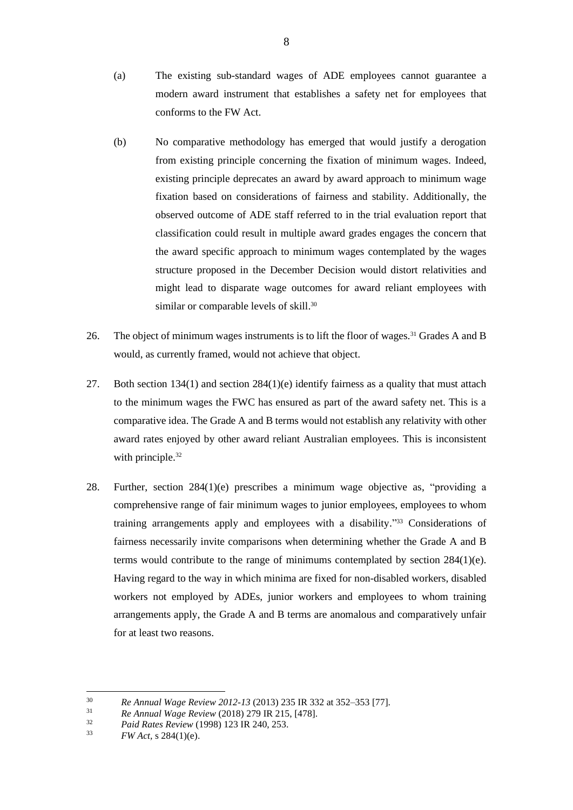- (a) The existing sub-standard wages of ADE employees cannot guarantee a modern award instrument that establishes a safety net for employees that conforms to the FW Act.
- (b) No comparative methodology has emerged that would justify a derogation from existing principle concerning the fixation of minimum wages. Indeed, existing principle deprecates an award by award approach to minimum wage fixation based on considerations of fairness and stability. Additionally, the observed outcome of ADE staff referred to in the trial evaluation report that classification could result in multiple award grades engages the concern that the award specific approach to minimum wages contemplated by the wages structure proposed in the December Decision would distort relativities and might lead to disparate wage outcomes for award reliant employees with similar or comparable levels of skill.<sup>30</sup>
- 26. The object of minimum wages instruments is to lift the floor of wages.<sup>31</sup> Grades A and B would, as currently framed, would not achieve that object.
- 27. Both section 134(1) and section  $284(1)(e)$  identify fairness as a quality that must attach to the minimum wages the FWC has ensured as part of the award safety net. This is a comparative idea. The Grade A and B terms would not establish any relativity with other award rates enjoyed by other award reliant Australian employees. This is inconsistent with principle.<sup>32</sup>
- 28. Further, section 284(1)(e) prescribes a minimum wage objective as, "providing a comprehensive range of fair minimum wages to junior employees, employees to whom training arrangements apply and employees with a disability." <sup>33</sup> Considerations of fairness necessarily invite comparisons when determining whether the Grade A and B terms would contribute to the range of minimums contemplated by section 284(1)(e). Having regard to the way in which minima are fixed for non-disabled workers, disabled workers not employed by ADEs, junior workers and employees to whom training arrangements apply, the Grade A and B terms are anomalous and comparatively unfair for at least two reasons.

<sup>30</sup> *Re Annual Wage Review 2012-13* (2013) 235 IR 332 at 352–353 [77].

<sup>31</sup> *Re Annual Wage Review* (2018) 279 IR 215, [478].

<sup>&</sup>lt;sup>32</sup> *Paid Rates Review* (1998) 123 IR 240, 253.<br><sup>33</sup> *EW Act s* 284(1)(a)

*FW Act*, s 284(1)(e).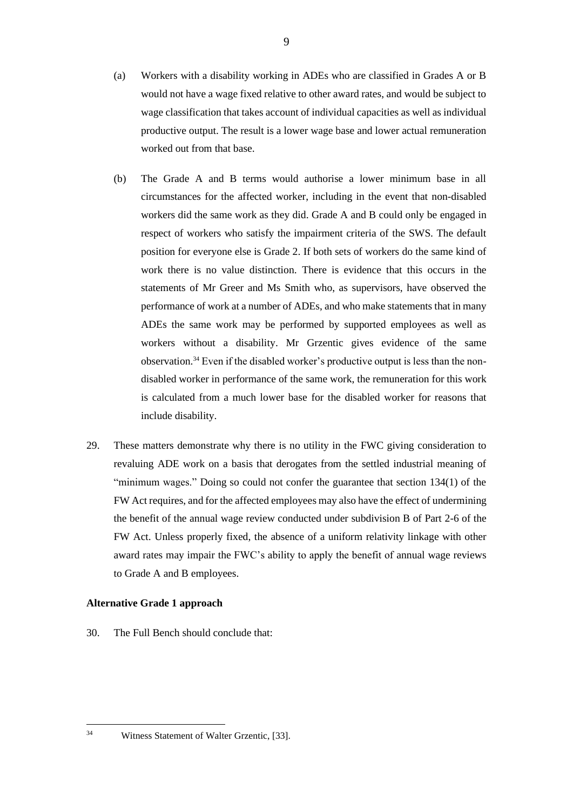- (a) Workers with a disability working in ADEs who are classified in Grades A or B would not have a wage fixed relative to other award rates, and would be subject to wage classification that takes account of individual capacities as well as individual productive output. The result is a lower wage base and lower actual remuneration worked out from that base.
- (b) The Grade A and B terms would authorise a lower minimum base in all circumstances for the affected worker, including in the event that non-disabled workers did the same work as they did. Grade A and B could only be engaged in respect of workers who satisfy the impairment criteria of the SWS. The default position for everyone else is Grade 2. If both sets of workers do the same kind of work there is no value distinction. There is evidence that this occurs in the statements of Mr Greer and Ms Smith who, as supervisors, have observed the performance of work at a number of ADEs, and who make statements that in many ADEs the same work may be performed by supported employees as well as workers without a disability. Mr Grzentic gives evidence of the same observation.<sup>34</sup> Even if the disabled worker's productive output is less than the nondisabled worker in performance of the same work, the remuneration for this work is calculated from a much lower base for the disabled worker for reasons that include disability.
- 29. These matters demonstrate why there is no utility in the FWC giving consideration to revaluing ADE work on a basis that derogates from the settled industrial meaning of "minimum wages." Doing so could not confer the guarantee that section 134(1) of the FW Act requires, and for the affected employees may also have the effect of undermining the benefit of the annual wage review conducted under subdivision B of Part 2-6 of the FW Act. Unless properly fixed, the absence of a uniform relativity linkage with other award rates may impair the FWC's ability to apply the benefit of annual wage reviews to Grade A and B employees.

### **Alternative Grade 1 approach**

30. The Full Bench should conclude that:

<sup>34</sup> Witness Statement of Walter Grzentic, [33].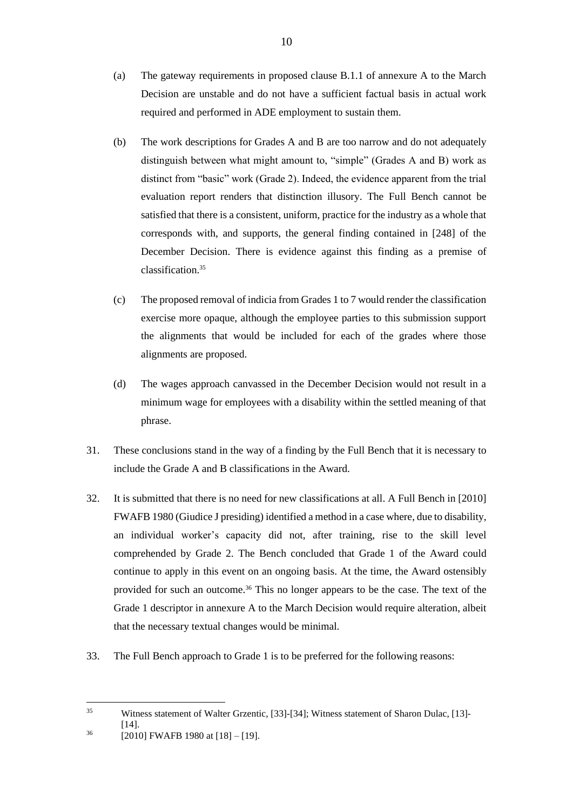- (a) The gateway requirements in proposed clause B.1.1 of annexure A to the March Decision are unstable and do not have a sufficient factual basis in actual work required and performed in ADE employment to sustain them.
- (b) The work descriptions for Grades A and B are too narrow and do not adequately distinguish between what might amount to, "simple" (Grades A and B) work as distinct from "basic" work (Grade 2). Indeed, the evidence apparent from the trial evaluation report renders that distinction illusory. The Full Bench cannot be satisfied that there is a consistent, uniform, practice for the industry as a whole that corresponds with, and supports, the general finding contained in [248] of the December Decision. There is evidence against this finding as a premise of classification.<sup>35</sup>
- (c) The proposed removal of indicia from Grades 1 to 7 would render the classification exercise more opaque, although the employee parties to this submission support the alignments that would be included for each of the grades where those alignments are proposed.
- (d) The wages approach canvassed in the December Decision would not result in a minimum wage for employees with a disability within the settled meaning of that phrase.
- 31. These conclusions stand in the way of a finding by the Full Bench that it is necessary to include the Grade A and B classifications in the Award.
- 32. It is submitted that there is no need for new classifications at all. A Full Bench in [2010] FWAFB 1980 (Giudice J presiding) identified a method in a case where, due to disability, an individual worker's capacity did not, after training, rise to the skill level comprehended by Grade 2. The Bench concluded that Grade 1 of the Award could continue to apply in this event on an ongoing basis. At the time, the Award ostensibly provided for such an outcome.<sup>36</sup> This no longer appears to be the case. The text of the Grade 1 descriptor in annexure A to the March Decision would require alteration, albeit that the necessary textual changes would be minimal.
- 33. The Full Bench approach to Grade 1 is to be preferred for the following reasons:

<sup>35</sup> Witness statement of Walter Grzentic, [33]-[34]; Witness statement of Sharon Dulac, [13]- [14].

<sup>36</sup> [2010] FWAFB 1980 at [18] – [19].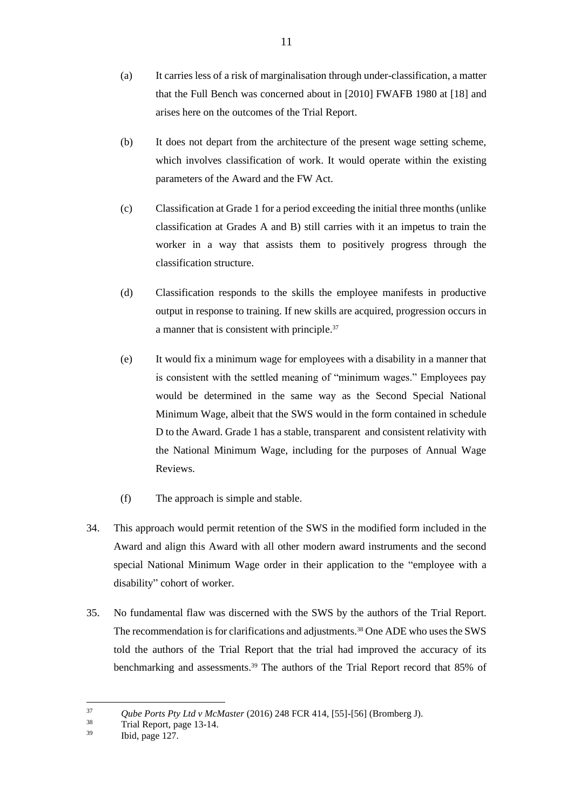- (a) It carries less of a risk of marginalisation through under-classification, a matter that the Full Bench was concerned about in [2010] FWAFB 1980 at [18] and arises here on the outcomes of the Trial Report.
- (b) It does not depart from the architecture of the present wage setting scheme, which involves classification of work. It would operate within the existing parameters of the Award and the FW Act.
- (c) Classification at Grade 1 for a period exceeding the initial three months (unlike classification at Grades A and B) still carries with it an impetus to train the worker in a way that assists them to positively progress through the classification structure.
- (d) Classification responds to the skills the employee manifests in productive output in response to training. If new skills are acquired, progression occurs in a manner that is consistent with principle.<sup>37</sup>
- (e) It would fix a minimum wage for employees with a disability in a manner that is consistent with the settled meaning of "minimum wages." Employees pay would be determined in the same way as the Second Special National Minimum Wage, albeit that the SWS would in the form contained in schedule D to the Award. Grade 1 has a stable, transparent and consistent relativity with the National Minimum Wage, including for the purposes of Annual Wage Reviews.
- (f) The approach is simple and stable.
- 34. This approach would permit retention of the SWS in the modified form included in the Award and align this Award with all other modern award instruments and the second special National Minimum Wage order in their application to the "employee with a disability" cohort of worker.
- 35. No fundamental flaw was discerned with the SWS by the authors of the Trial Report. The recommendation is for clarifications and adjustments.<sup>38</sup> One ADE who uses the SWS told the authors of the Trial Report that the trial had improved the accuracy of its benchmarking and assessments.<sup>39</sup> The authors of the Trial Report record that 85% of

<sup>37</sup> *Qube Ports Pty Ltd v McMaster* (2016) 248 FCR 414, [55]-[56] (Bromberg J).

 $\frac{38}{39}$  Trial Report, page 13-14.

Ibid, page 127.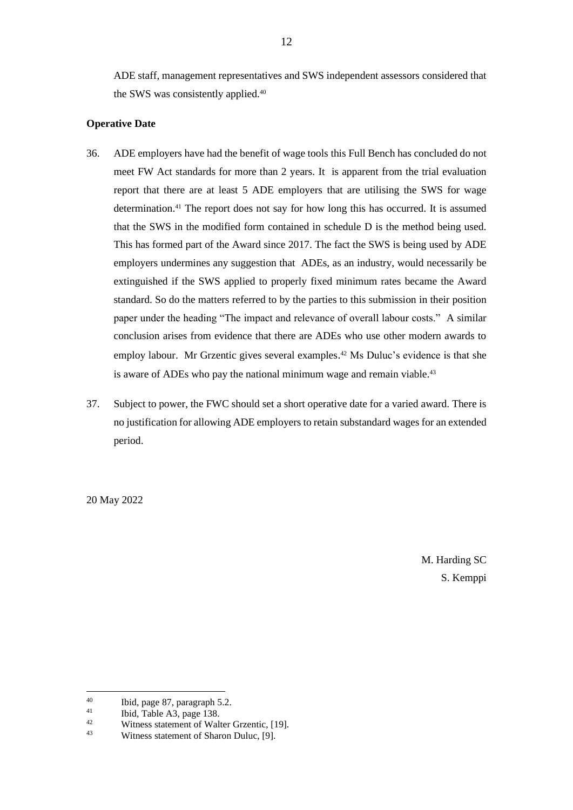ADE staff, management representatives and SWS independent assessors considered that the SWS was consistently applied.<sup>40</sup>

## **Operative Date**

- 36. ADE employers have had the benefit of wage tools this Full Bench has concluded do not meet FW Act standards for more than 2 years. It is apparent from the trial evaluation report that there are at least 5 ADE employers that are utilising the SWS for wage determination. <sup>41</sup> The report does not say for how long this has occurred. It is assumed that the SWS in the modified form contained in schedule D is the method being used. This has formed part of the Award since 2017. The fact the SWS is being used by ADE employers undermines any suggestion that ADEs, as an industry, would necessarily be extinguished if the SWS applied to properly fixed minimum rates became the Award standard. So do the matters referred to by the parties to this submission in their position paper under the heading "The impact and relevance of overall labour costs." A similar conclusion arises from evidence that there are ADEs who use other modern awards to employ labour. Mr Grzentic gives several examples. <sup>42</sup> Ms Duluc's evidence is that she is aware of ADEs who pay the national minimum wage and remain viable.<sup>43</sup>
- 37. Subject to power, the FWC should set a short operative date for a varied award. There is no justification for allowing ADE employers to retain substandard wages for an extended period.

20 May 2022

M. Harding SC S. Kemppi

<sup>&</sup>lt;sup>40</sup> Ibid, page 87, paragraph 5.2.<br><sup>41</sup> Ibid, Table  $\lambda$ 3, page 138

<sup>&</sup>lt;sup>41</sup> Ibid, Table A3, page 138.<br>Witness statement of Well

<sup>&</sup>lt;sup>42</sup> Witness statement of Walter Grzentic, [19].<br>
<sup>43</sup> Witness statement of Sharon Dulue, [0].

Witness statement of Sharon Duluc, [9].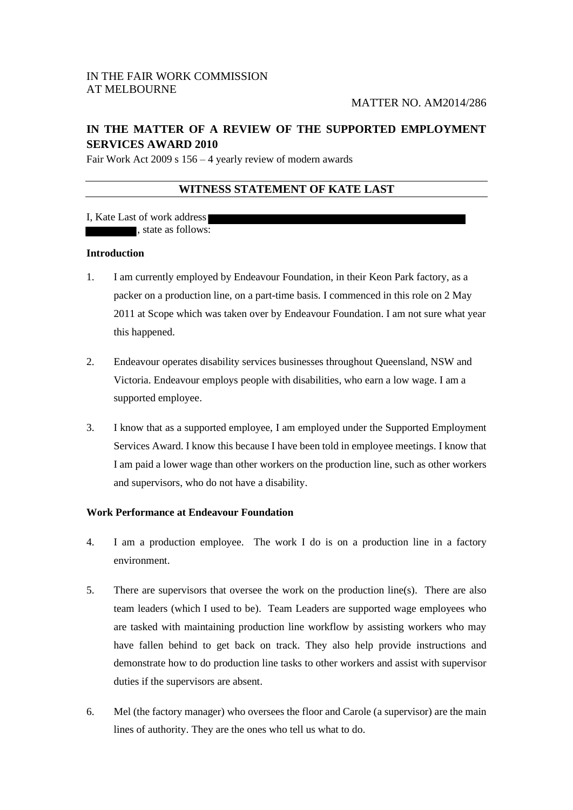# **IN THE MATTER OF A REVIEW OF THE SUPPORTED EMPLOYMENT SERVICES AWARD 2010**

Fair Work Act 2009 s 156 – 4 yearly review of modern awards

# **WITNESS STATEMENT OF KATE LAST**

I, Kate Last of work address , state as follows:

## **Introduction**

- 1. I am currently employed by Endeavour Foundation, in their Keon Park factory, as a packer on a production line, on a part-time basis. I commenced in this role on 2 May 2011 at Scope which was taken over by Endeavour Foundation. I am not sure what year this happened.
- 2. Endeavour operates disability services businesses throughout Queensland, NSW and Victoria. Endeavour employs people with disabilities, who earn a low wage. I am a supported employee.
- 3. I know that as a supported employee, I am employed under the Supported Employment Services Award. I know this because I have been told in employee meetings. I know that I am paid a lower wage than other workers on the production line, such as other workers and supervisors, who do not have a disability.

## **Work Performance at Endeavour Foundation**

- 4. I am a production employee. The work I do is on a production line in a factory environment.
- 5. There are supervisors that oversee the work on the production line(s). There are also team leaders (which I used to be). Team Leaders are supported wage employees who are tasked with maintaining production line workflow by assisting workers who may have fallen behind to get back on track. They also help provide instructions and demonstrate how to do production line tasks to other workers and assist with supervisor duties if the supervisors are absent.
- 6. Mel (the factory manager) who oversees the floor and Carole (a supervisor) are the main lines of authority. They are the ones who tell us what to do.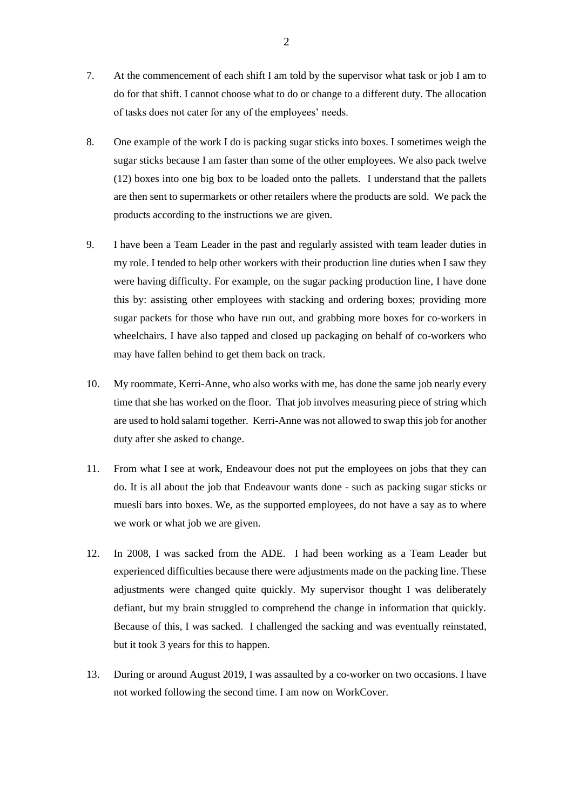- 7. At the commencement of each shift I am told by the supervisor what task or job I am to do for that shift. I cannot choose what to do or change to a different duty. The allocation of tasks does not cater for any of the employees' needs.
- 8. One example of the work I do is packing sugar sticks into boxes. I sometimes weigh the sugar sticks because I am faster than some of the other employees. We also pack twelve (12) boxes into one big box to be loaded onto the pallets. I understand that the pallets are then sent to supermarkets or other retailers where the products are sold. We pack the products according to the instructions we are given.
- 9. I have been a Team Leader in the past and regularly assisted with team leader duties in my role. I tended to help other workers with their production line duties when I saw they were having difficulty. For example, on the sugar packing production line, I have done this by: assisting other employees with stacking and ordering boxes; providing more sugar packets for those who have run out, and grabbing more boxes for co-workers in wheelchairs. I have also tapped and closed up packaging on behalf of co-workers who may have fallen behind to get them back on track.
- 10. My roommate, Kerri-Anne, who also works with me, has done the same job nearly every time that she has worked on the floor. That job involves measuring piece of string which are used to hold salami together. Kerri-Anne was not allowed to swap this job for another duty after she asked to change.
- 11. From what I see at work, Endeavour does not put the employees on jobs that they can do. It is all about the job that Endeavour wants done - such as packing sugar sticks or muesli bars into boxes. We, as the supported employees, do not have a say as to where we work or what job we are given.
- 12. In 2008, I was sacked from the ADE. I had been working as a Team Leader but experienced difficulties because there were adjustments made on the packing line. These adjustments were changed quite quickly. My supervisor thought I was deliberately defiant, but my brain struggled to comprehend the change in information that quickly. Because of this, I was sacked. I challenged the sacking and was eventually reinstated, but it took 3 years for this to happen.
- 13. During or around August 2019, I was assaulted by a co-worker on two occasions. I have not worked following the second time. I am now on WorkCover.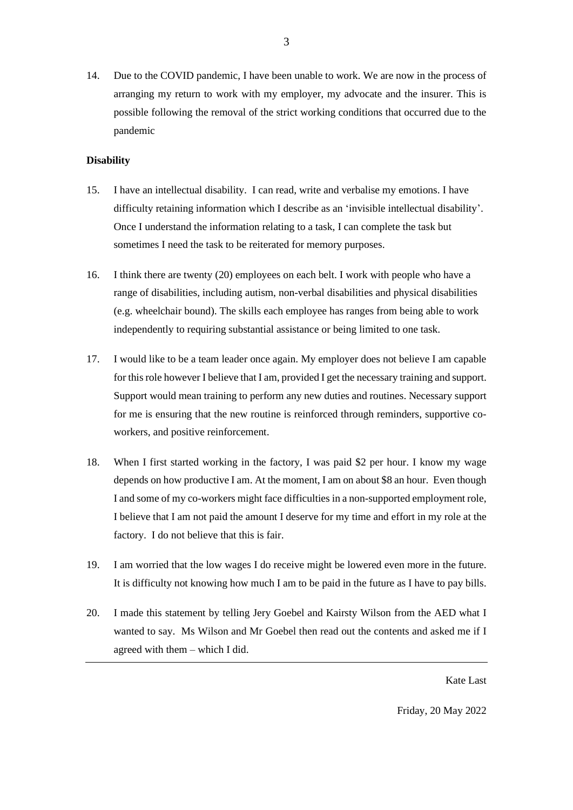14. Due to the COVID pandemic, I have been unable to work. We are now in the process of arranging my return to work with my employer, my advocate and the insurer. This is possible following the removal of the strict working conditions that occurred due to the pandemic

3

#### **Disability**

- 15. I have an intellectual disability. I can read, write and verbalise my emotions. I have difficulty retaining information which I describe as an 'invisible intellectual disability'. Once I understand the information relating to a task, I can complete the task but sometimes I need the task to be reiterated for memory purposes.
- 16. I think there are twenty (20) employees on each belt. I work with people who have a range of disabilities, including autism, non-verbal disabilities and physical disabilities (e.g. wheelchair bound). The skills each employee has ranges from being able to work independently to requiring substantial assistance or being limited to one task.
- 17. I would like to be a team leader once again. My employer does not believe I am capable for this role however I believe that I am, provided I get the necessary training and support. Support would mean training to perform any new duties and routines. Necessary support for me is ensuring that the new routine is reinforced through reminders, supportive coworkers, and positive reinforcement.
- 18. When I first started working in the factory, I was paid \$2 per hour. I know my wage depends on how productive I am. At the moment, I am on about \$8 an hour. Even though I and some of my co-workers might face difficulties in a non-supported employment role, I believe that I am not paid the amount I deserve for my time and effort in my role at the factory. I do not believe that this is fair.
- 19. I am worried that the low wages I do receive might be lowered even more in the future. It is difficulty not knowing how much I am to be paid in the future as I have to pay bills.
- 20. I made this statement by telling Jery Goebel and Kairsty Wilson from the AED what I wanted to say. Ms Wilson and Mr Goebel then read out the contents and asked me if I agreed with them – which I did.

Kate Last

Friday, 20 May 2022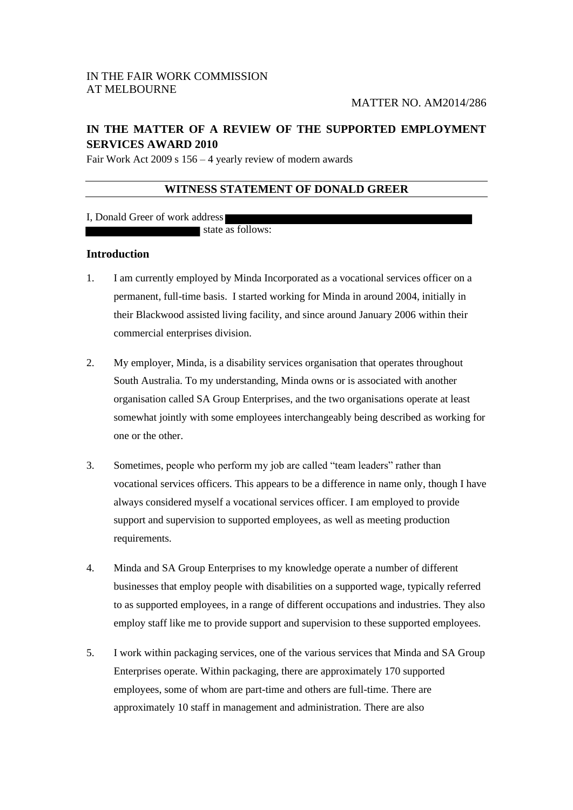# **IN THE MATTER OF A REVIEW OF THE SUPPORTED EMPLOYMENT SERVICES AWARD 2010**

Fair Work Act 2009 s 156 – 4 yearly review of modern awards

## **WITNESS STATEMENT OF DONALD GREER**

I, Donald Greer of work address

state as follows:

### **Introduction**

- 1. I am currently employed by Minda Incorporated as a vocational services officer on a permanent, full-time basis. I started working for Minda in around 2004, initially in their Blackwood assisted living facility, and since around January 2006 within their commercial enterprises division.
- 2. My employer, Minda, is a disability services organisation that operates throughout South Australia. To my understanding, Minda owns or is associated with another organisation called SA Group Enterprises, and the two organisations operate at least somewhat jointly with some employees interchangeably being described as working for one or the other.
- 3. Sometimes, people who perform my job are called "team leaders" rather than vocational services officers. This appears to be a difference in name only, though I have always considered myself a vocational services officer. I am employed to provide support and supervision to supported employees, as well as meeting production requirements.
- 4. Minda and SA Group Enterprises to my knowledge operate a number of different businesses that employ people with disabilities on a supported wage, typically referred to as supported employees, in a range of different occupations and industries. They also employ staff like me to provide support and supervision to these supported employees.
- 5. I work within packaging services, one of the various services that Minda and SA Group Enterprises operate. Within packaging, there are approximately 170 supported employees, some of whom are part-time and others are full-time. There are approximately 10 staff in management and administration. There are also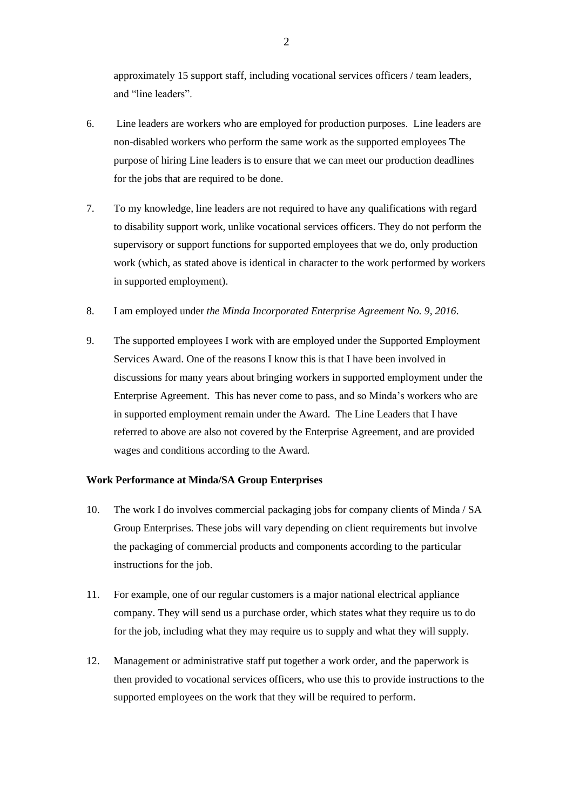approximately 15 support staff, including vocational services officers / team leaders, and "line leaders".

- 6. Line leaders are workers who are employed for production purposes. Line leaders are non-disabled workers who perform the same work as the supported employees The purpose of hiring Line leaders is to ensure that we can meet our production deadlines for the jobs that are required to be done.
- 7. To my knowledge, line leaders are not required to have any qualifications with regard to disability support work, unlike vocational services officers. They do not perform the supervisory or support functions for supported employees that we do, only production work (which, as stated above is identical in character to the work performed by workers in supported employment).
- 8. I am employed under *the Minda Incorporated Enterprise Agreement No. 9, 2016*.
- 9. The supported employees I work with are employed under the Supported Employment Services Award. One of the reasons I know this is that I have been involved in discussions for many years about bringing workers in supported employment under the Enterprise Agreement. This has never come to pass, and so Minda's workers who are in supported employment remain under the Award. The Line Leaders that I have referred to above are also not covered by the Enterprise Agreement, and are provided wages and conditions according to the Award.

#### **Work Performance at Minda/SA Group Enterprises**

- 10. The work I do involves commercial packaging jobs for company clients of Minda / SA Group Enterprises. These jobs will vary depending on client requirements but involve the packaging of commercial products and components according to the particular instructions for the job.
- 11. For example, one of our regular customers is a major national electrical appliance company. They will send us a purchase order, which states what they require us to do for the job, including what they may require us to supply and what they will supply.
- 12. Management or administrative staff put together a work order, and the paperwork is then provided to vocational services officers, who use this to provide instructions to the supported employees on the work that they will be required to perform.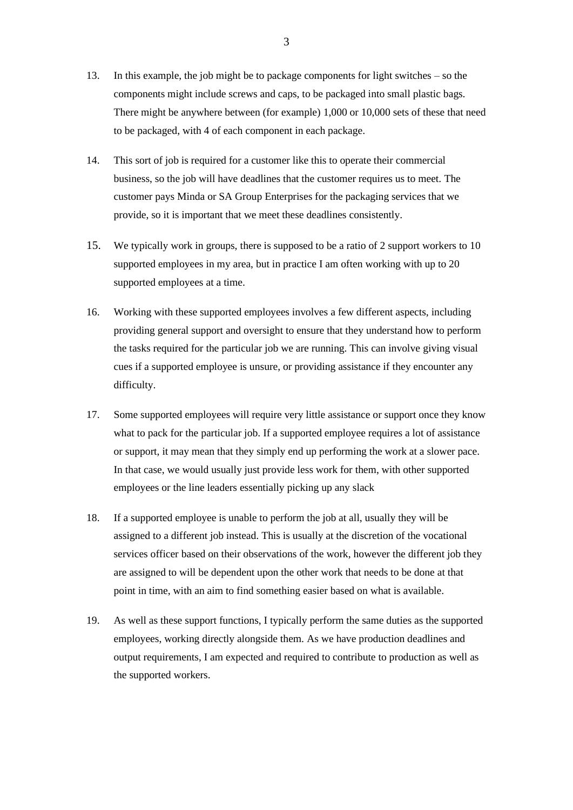- 13. In this example, the job might be to package components for light switches so the components might include screws and caps, to be packaged into small plastic bags. There might be anywhere between (for example) 1,000 or 10,000 sets of these that need to be packaged, with 4 of each component in each package.
- 14. This sort of job is required for a customer like this to operate their commercial business, so the job will have deadlines that the customer requires us to meet. The customer pays Minda or SA Group Enterprises for the packaging services that we provide, so it is important that we meet these deadlines consistently.
- 15. We typically work in groups, there is supposed to be a ratio of 2 support workers to 10 supported employees in my area, but in practice I am often working with up to 20 supported employees at a time.
- 16. Working with these supported employees involves a few different aspects, including providing general support and oversight to ensure that they understand how to perform the tasks required for the particular job we are running. This can involve giving visual cues if a supported employee is unsure, or providing assistance if they encounter any difficulty.
- 17. Some supported employees will require very little assistance or support once they know what to pack for the particular job. If a supported employee requires a lot of assistance or support, it may mean that they simply end up performing the work at a slower pace. In that case, we would usually just provide less work for them, with other supported employees or the line leaders essentially picking up any slack
- 18. If a supported employee is unable to perform the job at all, usually they will be assigned to a different job instead. This is usually at the discretion of the vocational services officer based on their observations of the work, however the different job they are assigned to will be dependent upon the other work that needs to be done at that point in time, with an aim to find something easier based on what is available.
- 19. As well as these support functions, I typically perform the same duties as the supported employees, working directly alongside them. As we have production deadlines and output requirements, I am expected and required to contribute to production as well as the supported workers.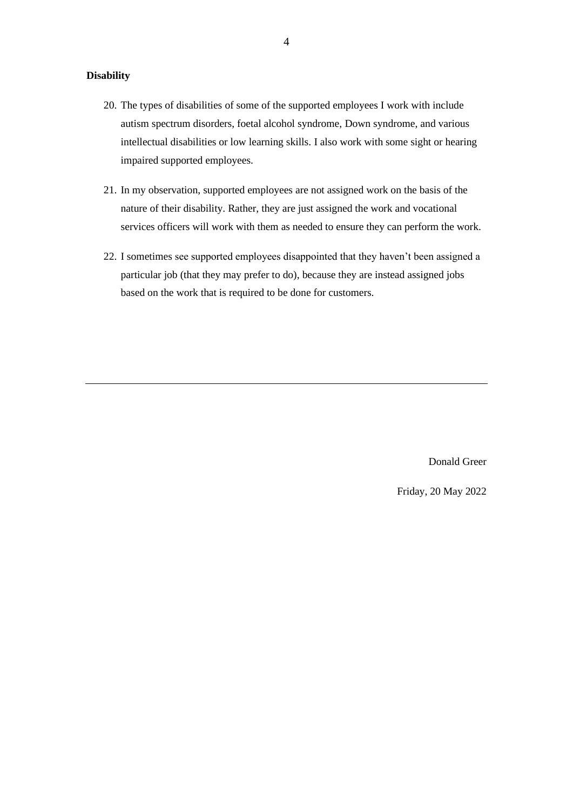### **Disability**

- 20. The types of disabilities of some of the supported employees I work with include autism spectrum disorders, foetal alcohol syndrome, Down syndrome, and various intellectual disabilities or low learning skills. I also work with some sight or hearing impaired supported employees.
- 21. In my observation, supported employees are not assigned work on the basis of the nature of their disability. Rather, they are just assigned the work and vocational services officers will work with them as needed to ensure they can perform the work.
- 22. I sometimes see supported employees disappointed that they haven't been assigned a particular job (that they may prefer to do), because they are instead assigned jobs based on the work that is required to be done for customers.

Donald Greer

Friday, 20 May 2022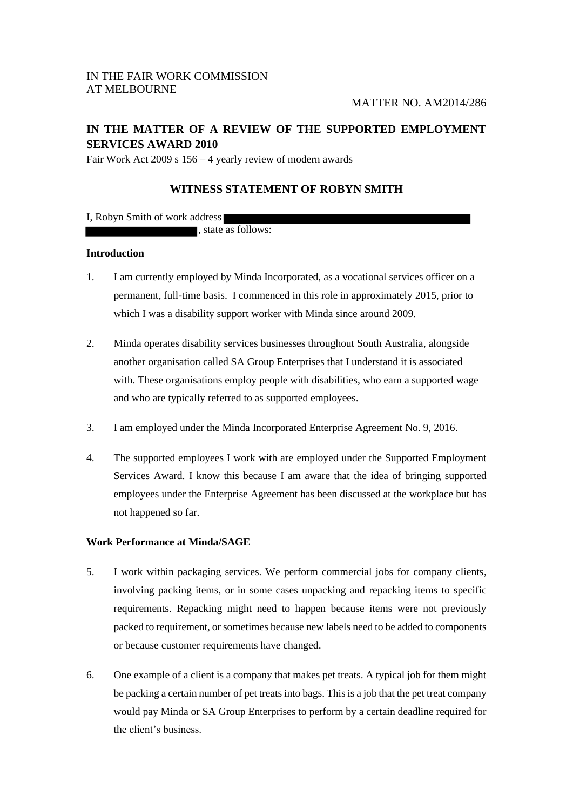# IN THE FAIR WORK COMMISSION AT MELBOURNE

# **IN THE MATTER OF A REVIEW OF THE SUPPORTED EMPLOYMENT SERVICES AWARD 2010**

Fair Work Act 2009 s 156 – 4 yearly review of modern awards

# **WITNESS STATEMENT OF ROBYN SMITH**

## I, Robyn Smith of work address

, state as follows:

### **Introduction**

- 1. I am currently employed by Minda Incorporated, as a vocational services officer on a permanent, full-time basis. I commenced in this role in approximately 2015, prior to which I was a disability support worker with Minda since around 2009.
- 2. Minda operates disability services businesses throughout South Australia, alongside another organisation called SA Group Enterprises that I understand it is associated with. These organisations employ people with disabilities, who earn a supported wage and who are typically referred to as supported employees.
- 3. I am employed under the Minda Incorporated Enterprise Agreement No. 9, 2016.
- 4. The supported employees I work with are employed under the Supported Employment Services Award. I know this because I am aware that the idea of bringing supported employees under the Enterprise Agreement has been discussed at the workplace but has not happened so far.

## **Work Performance at Minda/SAGE**

- 5. I work within packaging services. We perform commercial jobs for company clients, involving packing items, or in some cases unpacking and repacking items to specific requirements. Repacking might need to happen because items were not previously packed to requirement, or sometimes because new labels need to be added to components or because customer requirements have changed.
- 6. One example of a client is a company that makes pet treats. A typical job for them might be packing a certain number of pet treats into bags. This is a job that the pet treat company would pay Minda or SA Group Enterprises to perform by a certain deadline required for the client's business.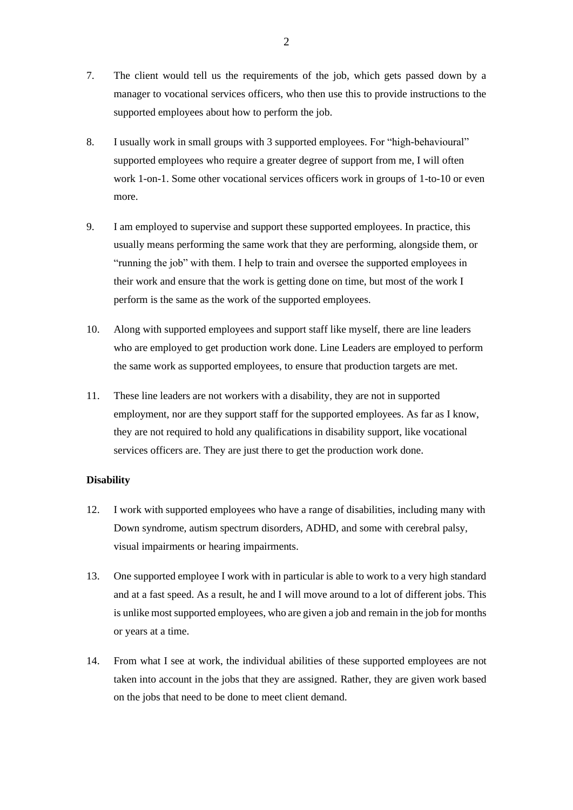- 7. The client would tell us the requirements of the job, which gets passed down by a manager to vocational services officers, who then use this to provide instructions to the supported employees about how to perform the job.
- 8. I usually work in small groups with 3 supported employees. For "high-behavioural" supported employees who require a greater degree of support from me, I will often work 1-on-1. Some other vocational services officers work in groups of 1-to-10 or even more.
- 9. I am employed to supervise and support these supported employees. In practice, this usually means performing the same work that they are performing, alongside them, or "running the job" with them. I help to train and oversee the supported employees in their work and ensure that the work is getting done on time, but most of the work I perform is the same as the work of the supported employees.
- 10. Along with supported employees and support staff like myself, there are line leaders who are employed to get production work done. Line Leaders are employed to perform the same work as supported employees, to ensure that production targets are met.
- 11. These line leaders are not workers with a disability, they are not in supported employment, nor are they support staff for the supported employees. As far as I know, they are not required to hold any qualifications in disability support, like vocational services officers are. They are just there to get the production work done.

### **Disability**

- 12. I work with supported employees who have a range of disabilities, including many with Down syndrome, autism spectrum disorders, ADHD, and some with cerebral palsy, visual impairments or hearing impairments.
- 13. One supported employee I work with in particular is able to work to a very high standard and at a fast speed. As a result, he and I will move around to a lot of different jobs. This is unlike most supported employees, who are given a job and remain in the job for months or years at a time.
- 14. From what I see at work, the individual abilities of these supported employees are not taken into account in the jobs that they are assigned. Rather, they are given work based on the jobs that need to be done to meet client demand.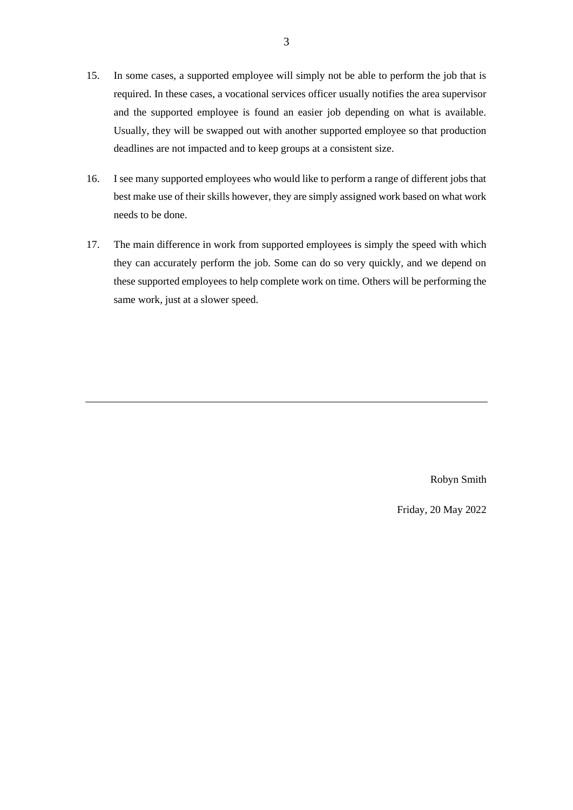- 15. In some cases, a supported employee will simply not be able to perform the job that is required. In these cases, a vocational services officer usually notifies the area supervisor and the supported employee is found an easier job depending on what is available. Usually, they will be swapped out with another supported employee so that production deadlines are not impacted and to keep groups at a consistent size.
- 16. I see many supported employees who would like to perform a range of different jobs that best make use of their skills however, they are simply assigned work based on what work needs to be done.
- 17. The main difference in work from supported employees is simply the speed with which they can accurately perform the job. Some can do so very quickly, and we depend on these supported employees to help complete work on time. Others will be performing the same work, just at a slower speed.

Robyn Smith

Friday, 20 May 2022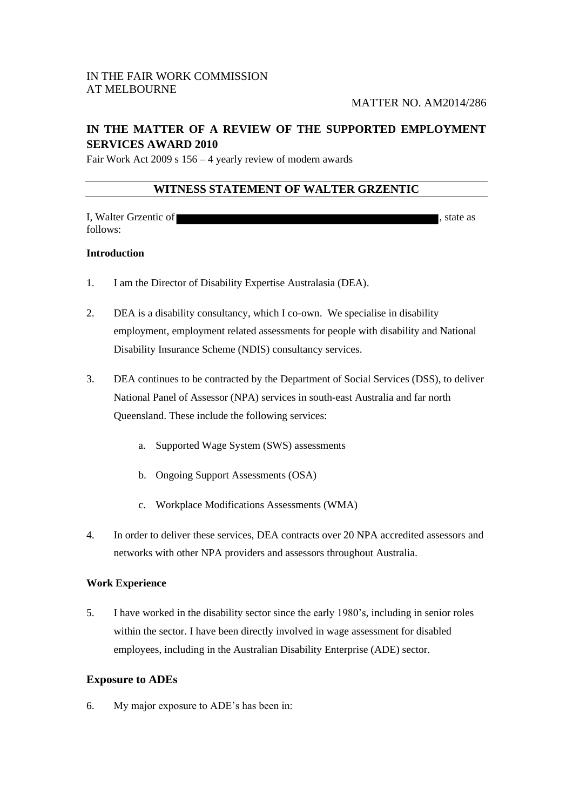# **IN THE MATTER OF A REVIEW OF THE SUPPORTED EMPLOYMENT SERVICES AWARD 2010**

Fair Work Act 2009 s 156 – 4 yearly review of modern awards

# **WITNESS STATEMENT OF WALTER GRZENTIC**

| I, Walter Grzentic of | state as |
|-----------------------|----------|
| follows:              |          |

## **Introduction**

- 1. I am the Director of Disability Expertise Australasia (DEA).
- 2. DEA is a disability consultancy, which I co-own. We specialise in disability employment, employment related assessments for people with disability and National Disability Insurance Scheme (NDIS) consultancy services.
- 3. DEA continues to be contracted by the Department of Social Services (DSS), to deliver National Panel of Assessor (NPA) services in south-east Australia and far north Queensland. These include the following services:
	- a. Supported Wage System (SWS) assessments
	- b. Ongoing Support Assessments (OSA)
	- c. Workplace Modifications Assessments (WMA)
- 4. In order to deliver these services, DEA contracts over 20 NPA accredited assessors and networks with other NPA providers and assessors throughout Australia.

## **Work Experience**

5. I have worked in the disability sector since the early 1980's, including in senior roles within the sector. I have been directly involved in wage assessment for disabled employees, including in the Australian Disability Enterprise (ADE) sector.

# **Exposure to ADEs**

6. My major exposure to ADE's has been in: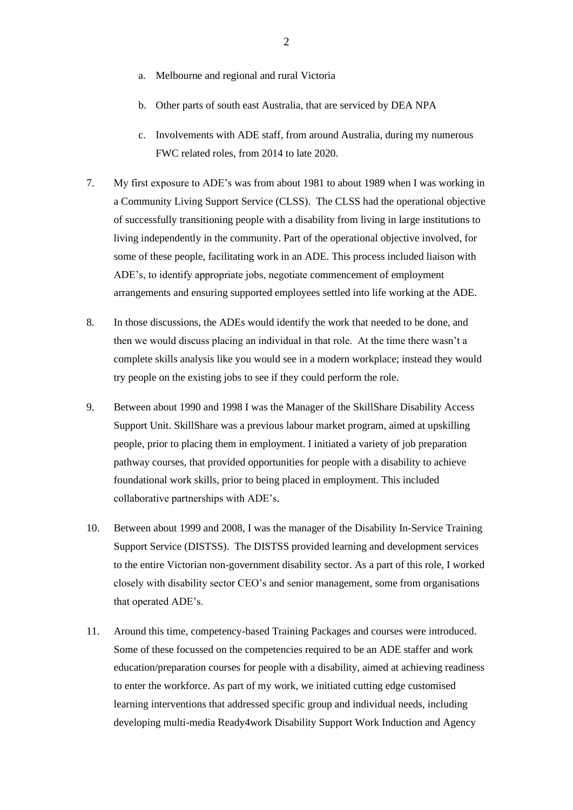- a. Melbourne and regional and rural Victoria
- b. Other parts of south east Australia, that are serviced by DEA NPA
- c. Involvements with ADE staff, from around Australia, during my numerous FWC related roles, from 2014 to late 2020.
- 7. My first exposure to ADE's was from about 1981 to about 1989 when I was working in a Community Living Support Service (CLSS). The CLSS had the operational objective of successfully transitioning people with a disability from living in large institutions to living independently in the community. Part of the operational objective involved, for some of these people, facilitating work in an ADE. This process included liaison with ADE's, to identify appropriate jobs, negotiate commencement of employment arrangements and ensuring supported employees settled into life working at the ADE.
- 8. In those discussions, the ADEs would identify the work that needed to be done, and then we would discuss placing an individual in that role. At the time there wasn't a complete skills analysis like you would see in a modern workplace; instead they would try people on the existing jobs to see if they could perform the role.
- 9. Between about 1990 and 1998 I was the Manager of the SkillShare Disability Access Support Unit. SkillShare was a previous labour market program, aimed at upskilling people, prior to placing them in employment. I initiated a variety of job preparation pathway courses, that provided opportunities for people with a disability to achieve foundational work skills, prior to being placed in employment. This included collaborative partnerships with ADE's.
- 10. Between about 1999 and 2008, I was the manager of the Disability In-Service Training Support Service (DISTSS). The DISTSS provided learning and development services to the entire Victorian non-government disability sector. As a part of this role, I worked closely with disability sector CEO's and senior management, some from organisations that operated ADE's.
- 11. Around this time, competency-based Training Packages and courses were introduced. Some of these focussed on the competencies required to be an ADE staffer and work education/preparation courses for people with a disability, aimed at achieving readiness to enter the workforce. As part of my work, we initiated cutting edge customised learning interventions that addressed specific group and individual needs, including developing multi-media Ready4work Disability Support Work Induction and Agency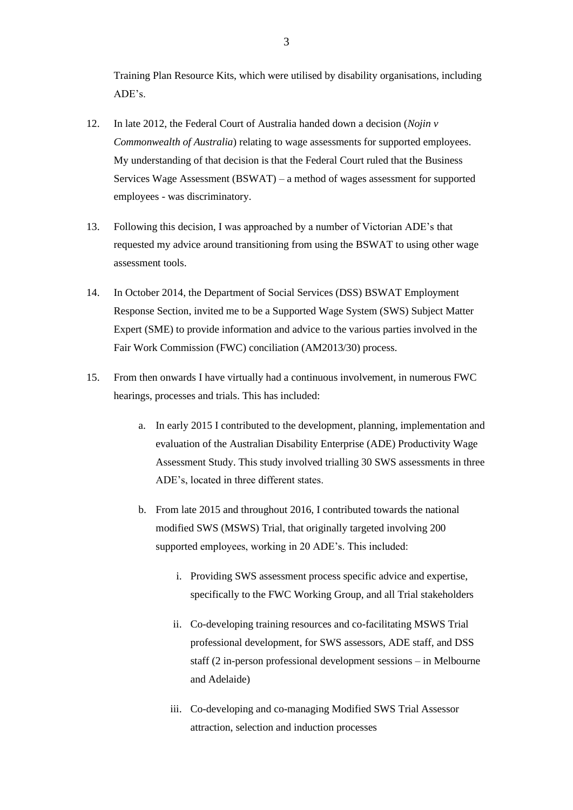Training Plan Resource Kits, which were utilised by disability organisations, including ADE's.

- 12. In late 2012, the Federal Court of Australia handed down a decision (*Nojin v Commonwealth of Australia*) relating to wage assessments for supported employees. My understanding of that decision is that the Federal Court ruled that the Business Services Wage Assessment (BSWAT) – a method of wages assessment for supported employees - was discriminatory.
- 13. Following this decision, I was approached by a number of Victorian ADE's that requested my advice around transitioning from using the BSWAT to using other wage assessment tools.
- 14. In October 2014, the Department of Social Services (DSS) BSWAT Employment Response Section, invited me to be a Supported Wage System (SWS) Subject Matter Expert (SME) to provide information and advice to the various parties involved in the Fair Work Commission (FWC) conciliation (AM2013/30) process.
- 15. From then onwards I have virtually had a continuous involvement, in numerous FWC hearings, processes and trials. This has included:
	- a. In early 2015 I contributed to the development, planning, implementation and evaluation of the Australian Disability Enterprise (ADE) Productivity Wage Assessment Study. This study involved trialling 30 SWS assessments in three ADE's, located in three different states.
	- b. From late 2015 and throughout 2016, I contributed towards the national modified SWS (MSWS) Trial, that originally targeted involving 200 supported employees, working in 20 ADE's. This included:
		- i. Providing SWS assessment process specific advice and expertise, specifically to the FWC Working Group, and all Trial stakeholders
		- ii. Co-developing training resources and co-facilitating MSWS Trial professional development, for SWS assessors, ADE staff, and DSS staff (2 in-person professional development sessions – in Melbourne and Adelaide)
		- iii. Co-developing and co-managing Modified SWS Trial Assessor attraction, selection and induction processes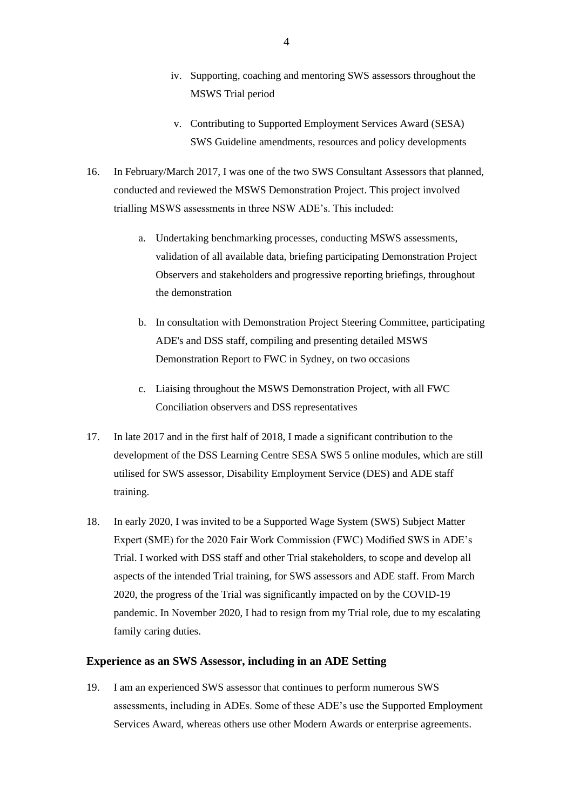- iv. Supporting, coaching and mentoring SWS assessors throughout the MSWS Trial period
- v. Contributing to Supported Employment Services Award (SESA) SWS Guideline amendments, resources and policy developments
- 16. In February/March 2017, I was one of the two SWS Consultant Assessors that planned, conducted and reviewed the MSWS Demonstration Project. This project involved trialling MSWS assessments in three NSW ADE's. This included:
	- a. Undertaking benchmarking processes, conducting MSWS assessments, validation of all available data, briefing participating Demonstration Project Observers and stakeholders and progressive reporting briefings, throughout the demonstration
	- b. In consultation with Demonstration Project Steering Committee, participating ADE's and DSS staff, compiling and presenting detailed MSWS Demonstration Report to FWC in Sydney, on two occasions
	- c. Liaising throughout the MSWS Demonstration Project, with all FWC Conciliation observers and DSS representatives
- 17. In late 2017 and in the first half of 2018, I made a significant contribution to the development of the DSS Learning Centre SESA SWS 5 online modules, which are still utilised for SWS assessor, Disability Employment Service (DES) and ADE staff training.
- 18. In early 2020, I was invited to be a Supported Wage System (SWS) Subject Matter Expert (SME) for the 2020 Fair Work Commission (FWC) Modified SWS in ADE's Trial. I worked with DSS staff and other Trial stakeholders, to scope and develop all aspects of the intended Trial training, for SWS assessors and ADE staff. From March 2020, the progress of the Trial was significantly impacted on by the COVID-19 pandemic. In November 2020, I had to resign from my Trial role, due to my escalating family caring duties.

# **Experience as an SWS Assessor, including in an ADE Setting**

19. I am an experienced SWS assessor that continues to perform numerous SWS assessments, including in ADEs. Some of these ADE's use the Supported Employment Services Award, whereas others use other Modern Awards or enterprise agreements.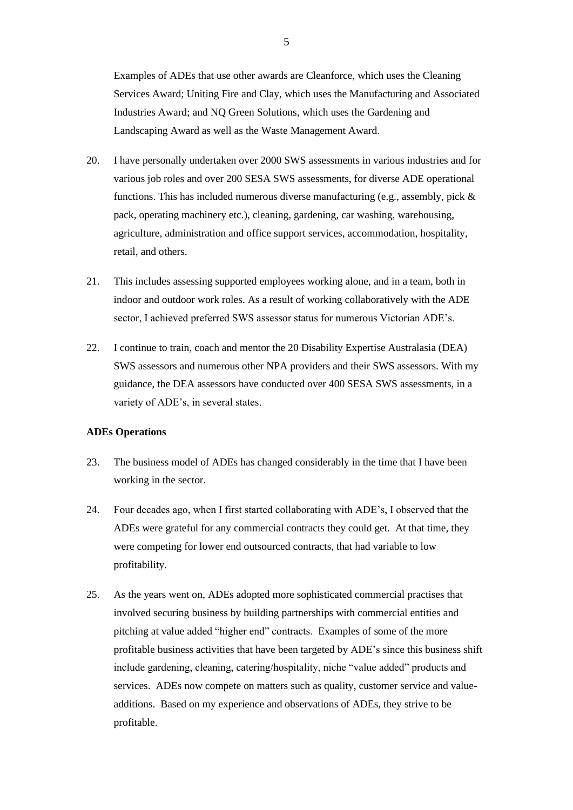Examples of ADEs that use other awards are Cleanforce, which uses the Cleaning Services Award; Uniting Fire and Clay, which uses the Manufacturing and Associated Industries Award; and NQ Green Solutions, which uses the Gardening and Landscaping Award as well as the Waste Management Award.

- 20. I have personally undertaken over 2000 SWS assessments in various industries and for various job roles and over 200 SESA SWS assessments, for diverse ADE operational functions. This has included numerous diverse manufacturing (e.g., assembly, pick & pack, operating machinery etc.), cleaning, gardening, car washing, warehousing, agriculture, administration and office support services, accommodation, hospitality, retail, and others.
- 21. This includes assessing supported employees working alone, and in a team, both in indoor and outdoor work roles. As a result of working collaboratively with the ADE sector, I achieved preferred SWS assessor status for numerous Victorian ADE's.
- 22. I continue to train, coach and mentor the 20 Disability Expertise Australasia (DEA) SWS assessors and numerous other NPA providers and their SWS assessors. With my guidance, the DEA assessors have conducted over 400 SESA SWS assessments, in a variety of ADE's, in several states.

#### **ADEs Operations**

- 23. The business model of ADEs has changed considerably in the time that I have been working in the sector.
- 24. Four decades ago, when I first started collaborating with ADE's, I observed that the ADEs were grateful for any commercial contracts they could get. At that time, they were competing for lower end outsourced contracts, that had variable to low profitability.
- 25. As the years went on, ADEs adopted more sophisticated commercial practises that involved securing business by building partnerships with commercial entities and pitching at value added "higher end" contracts. Examples of some of the more profitable business activities that have been targeted by ADE's since this business shift include gardening, cleaning, catering/hospitality, niche "value added" products and services. ADEs now compete on matters such as quality, customer service and valueadditions. Based on my experience and observations of ADEs, they strive to be profitable.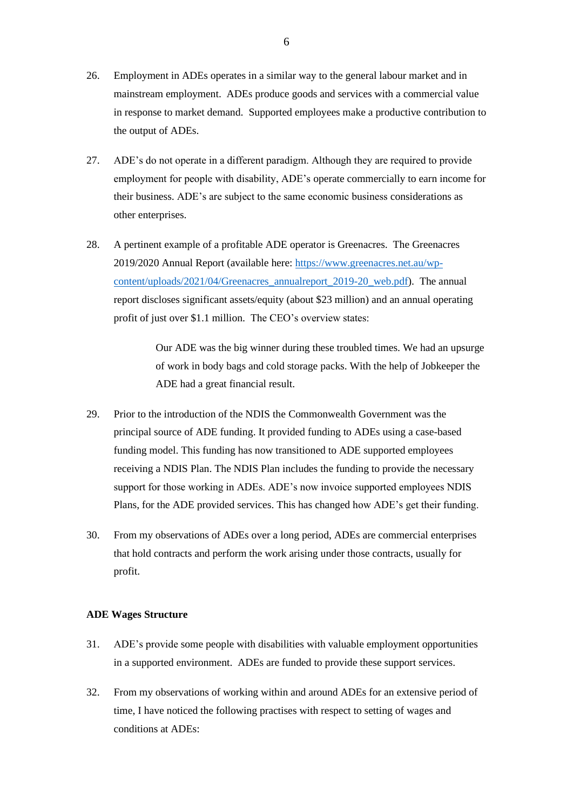- 26. Employment in ADEs operates in a similar way to the general labour market and in mainstream employment. ADEs produce goods and services with a commercial value in response to market demand. Supported employees make a productive contribution to the output of ADEs.
- 27. ADE's do not operate in a different paradigm. Although they are required to provide employment for people with disability, ADE's operate commercially to earn income for their business. ADE's are subject to the same economic business considerations as other enterprises.
- 28. A pertinent example of a profitable ADE operator is Greenacres. The Greenacres 2019/2020 Annual Report (available here[: https://www.greenacres.net.au/wp](https://www.greenacres.net.au/wp-content/uploads/2021/04/Greenacres_annualreport_2019-20_web.pdf)[content/uploads/2021/04/Greenacres\\_annualreport\\_2019-20\\_web.pdf\)](https://www.greenacres.net.au/wp-content/uploads/2021/04/Greenacres_annualreport_2019-20_web.pdf). The annual report discloses significant assets/equity (about \$23 million) and an annual operating profit of just over \$1.1 million. The CEO's overview states:

Our ADE was the big winner during these troubled times. We had an upsurge of work in body bags and cold storage packs. With the help of Jobkeeper the ADE had a great financial result.

- 29. Prior to the introduction of the NDIS the Commonwealth Government was the principal source of ADE funding. It provided funding to ADEs using a case-based funding model. This funding has now transitioned to ADE supported employees receiving a NDIS Plan. The NDIS Plan includes the funding to provide the necessary support for those working in ADEs. ADE's now invoice supported employees NDIS Plans, for the ADE provided services. This has changed how ADE's get their funding.
- 30. From my observations of ADEs over a long period, ADEs are commercial enterprises that hold contracts and perform the work arising under those contracts, usually for profit.

### **ADE Wages Structure**

- 31. ADE's provide some people with disabilities with valuable employment opportunities in a supported environment. ADEs are funded to provide these support services.
- 32. From my observations of working within and around ADEs for an extensive period of time, I have noticed the following practises with respect to setting of wages and conditions at ADEs: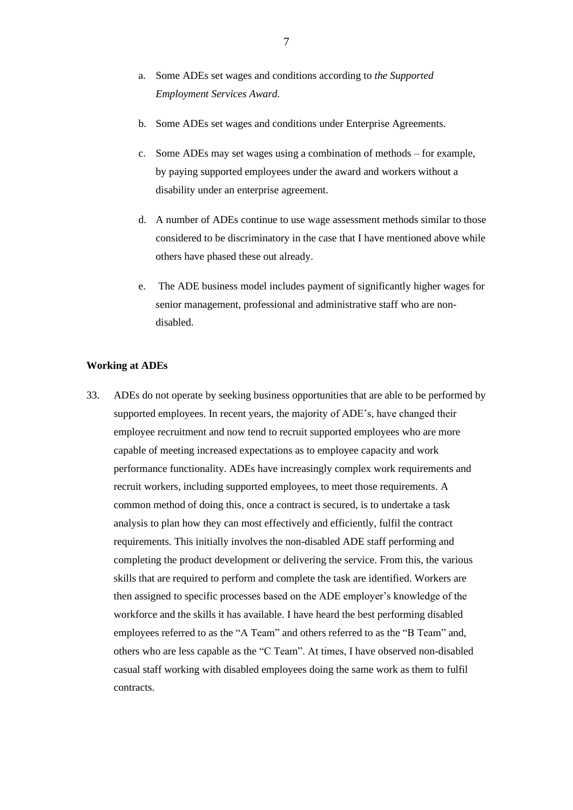- a. Some ADEs set wages and conditions according to *the Supported Employment Services Award.*
- b. Some ADEs set wages and conditions under Enterprise Agreements.
- c. Some ADEs may set wages using a combination of methods for example, by paying supported employees under the award and workers without a disability under an enterprise agreement.
- d. A number of ADEs continue to use wage assessment methods similar to those considered to be discriminatory in the case that I have mentioned above while others have phased these out already.
- e. The ADE business model includes payment of significantly higher wages for senior management, professional and administrative staff who are nondisabled.

## **Working at ADEs**

33. ADEs do not operate by seeking business opportunities that are able to be performed by supported employees. In recent years, the majority of ADE's, have changed their employee recruitment and now tend to recruit supported employees who are more capable of meeting increased expectations as to employee capacity and work performance functionality. ADEs have increasingly complex work requirements and recruit workers, including supported employees, to meet those requirements. A common method of doing this, once a contract is secured, is to undertake a task analysis to plan how they can most effectively and efficiently, fulfil the contract requirements. This initially involves the non-disabled ADE staff performing and completing the product development or delivering the service. From this, the various skills that are required to perform and complete the task are identified. Workers are then assigned to specific processes based on the ADE employer's knowledge of the workforce and the skills it has available. I have heard the best performing disabled employees referred to as the "A Team" and others referred to as the "B Team" and, others who are less capable as the "C Team". At times, I have observed non-disabled casual staff working with disabled employees doing the same work as them to fulfil contracts.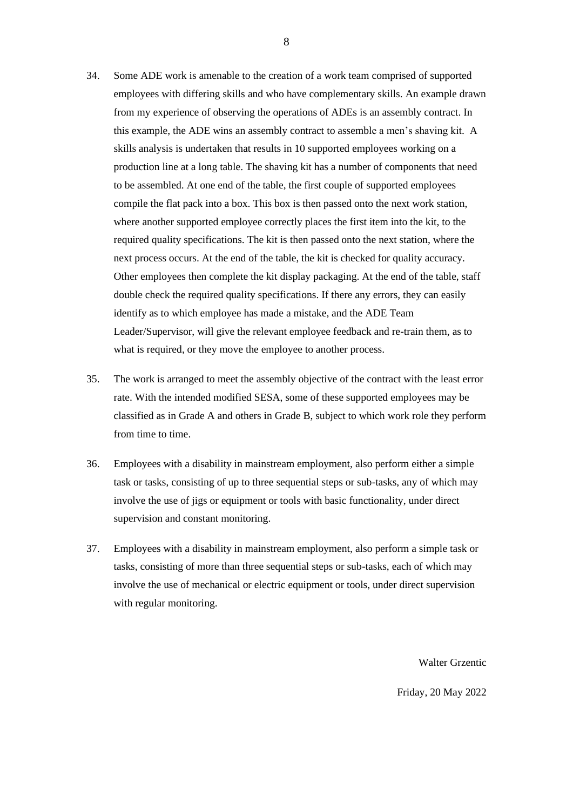- 34. Some ADE work is amenable to the creation of a work team comprised of supported employees with differing skills and who have complementary skills. An example drawn from my experience of observing the operations of ADEs is an assembly contract. In this example, the ADE wins an assembly contract to assemble a men's shaving kit. A skills analysis is undertaken that results in 10 supported employees working on a production line at a long table. The shaving kit has a number of components that need to be assembled. At one end of the table, the first couple of supported employees compile the flat pack into a box. This box is then passed onto the next work station, where another supported employee correctly places the first item into the kit, to the required quality specifications. The kit is then passed onto the next station, where the next process occurs. At the end of the table, the kit is checked for quality accuracy. Other employees then complete the kit display packaging. At the end of the table, staff double check the required quality specifications. If there any errors, they can easily identify as to which employee has made a mistake, and the ADE Team Leader/Supervisor, will give the relevant employee feedback and re-train them, as to what is required, or they move the employee to another process.
- 35. The work is arranged to meet the assembly objective of the contract with the least error rate. With the intended modified SESA, some of these supported employees may be classified as in Grade A and others in Grade B, subject to which work role they perform from time to time.
- 36. Employees with a disability in mainstream employment, also perform either a simple task or tasks, consisting of up to three sequential steps or sub-tasks, any of which may involve the use of jigs or equipment or tools with basic functionality, under direct supervision and constant monitoring.
- 37. Employees with a disability in mainstream employment, also perform a simple task or tasks, consisting of more than three sequential steps or sub-tasks, each of which may involve the use of mechanical or electric equipment or tools, under direct supervision with regular monitoring.

Walter Grzentic

Friday, 20 May 2022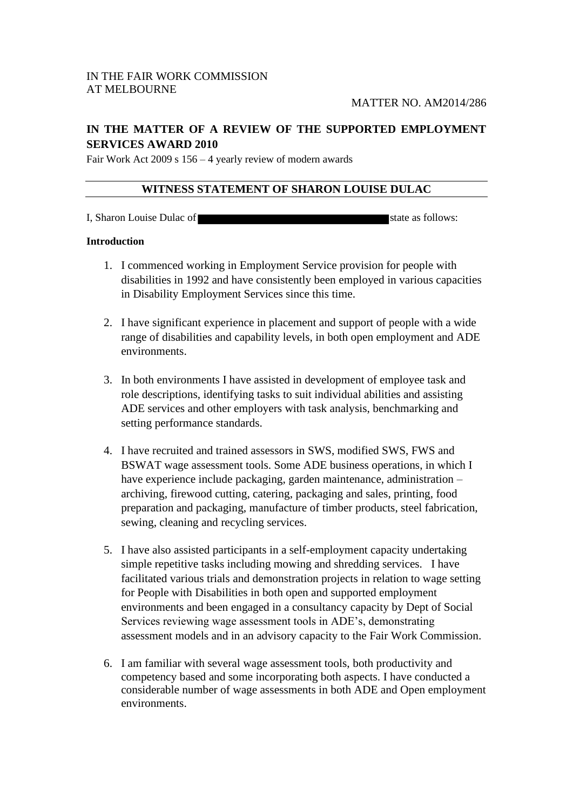# **IN THE MATTER OF A REVIEW OF THE SUPPORTED EMPLOYMENT SERVICES AWARD 2010**

Fair Work Act 2009 s 156 – 4 yearly review of modern awards

# **WITNESS STATEMENT OF SHARON LOUISE DULAC**

I, Sharon Louise Dulac of  $\blacksquare$ 

## **Introduction**

- 1. I commenced working in Employment Service provision for people with disabilities in 1992 and have consistently been employed in various capacities in Disability Employment Services since this time.
- 2. I have significant experience in placement and support of people with a wide range of disabilities and capability levels, in both open employment and ADE environments.
- 3. In both environments I have assisted in development of employee task and role descriptions, identifying tasks to suit individual abilities and assisting ADE services and other employers with task analysis, benchmarking and setting performance standards.
- 4. I have recruited and trained assessors in SWS, modified SWS, FWS and BSWAT wage assessment tools. Some ADE business operations, in which I have experience include packaging, garden maintenance, administration – archiving, firewood cutting, catering, packaging and sales, printing, food preparation and packaging, manufacture of timber products, steel fabrication, sewing, cleaning and recycling services.
- 5. I have also assisted participants in a self-employment capacity undertaking simple repetitive tasks including mowing and shredding services. I have facilitated various trials and demonstration projects in relation to wage setting for People with Disabilities in both open and supported employment environments and been engaged in a consultancy capacity by Dept of Social Services reviewing wage assessment tools in ADE's, demonstrating assessment models and in an advisory capacity to the Fair Work Commission.
- 6. I am familiar with several wage assessment tools, both productivity and competency based and some incorporating both aspects. I have conducted a considerable number of wage assessments in both ADE and Open employment environments.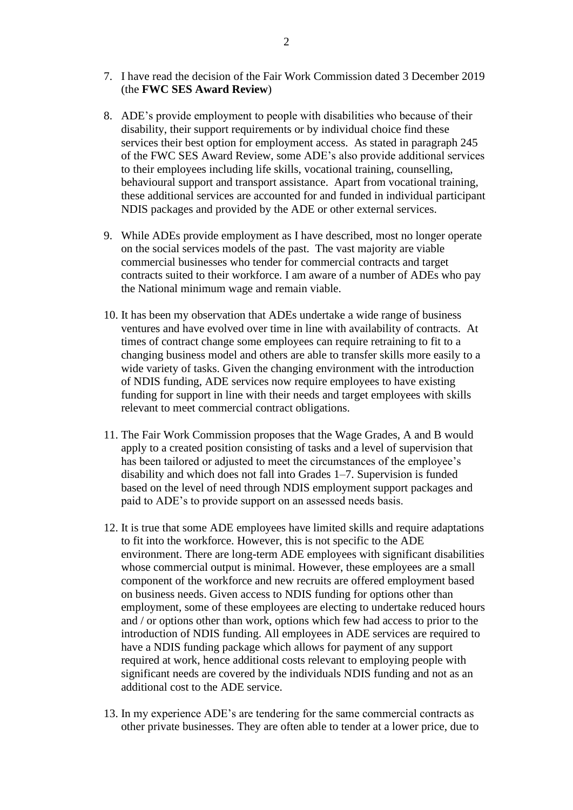- 7. I have read the decision of the Fair Work Commission dated 3 December 2019 (the **FWC SES Award Review**)
- 8. ADE's provide employment to people with disabilities who because of their disability, their support requirements or by individual choice find these services their best option for employment access. As stated in paragraph 245 of the FWC SES Award Review, some ADE's also provide additional services to their employees including life skills, vocational training, counselling, behavioural support and transport assistance. Apart from vocational training, these additional services are accounted for and funded in individual participant NDIS packages and provided by the ADE or other external services.
- 9. While ADEs provide employment as I have described, most no longer operate on the social services models of the past. The vast majority are viable commercial businesses who tender for commercial contracts and target contracts suited to their workforce. I am aware of a number of ADEs who pay the National minimum wage and remain viable.
- 10. It has been my observation that ADEs undertake a wide range of business ventures and have evolved over time in line with availability of contracts. At times of contract change some employees can require retraining to fit to a changing business model and others are able to transfer skills more easily to a wide variety of tasks. Given the changing environment with the introduction of NDIS funding, ADE services now require employees to have existing funding for support in line with their needs and target employees with skills relevant to meet commercial contract obligations.
- 11. The Fair Work Commission proposes that the Wage Grades, A and B would apply to a created position consisting of tasks and a level of supervision that has been tailored or adjusted to meet the circumstances of the employee's disability and which does not fall into Grades 1–7. Supervision is funded based on the level of need through NDIS employment support packages and paid to ADE's to provide support on an assessed needs basis.
- 12. It is true that some ADE employees have limited skills and require adaptations to fit into the workforce. However, this is not specific to the ADE environment. There are long-term ADE employees with significant disabilities whose commercial output is minimal. However, these employees are a small component of the workforce and new recruits are offered employment based on business needs. Given access to NDIS funding for options other than employment, some of these employees are electing to undertake reduced hours and / or options other than work, options which few had access to prior to the introduction of NDIS funding. All employees in ADE services are required to have a NDIS funding package which allows for payment of any support required at work, hence additional costs relevant to employing people with significant needs are covered by the individuals NDIS funding and not as an additional cost to the ADE service.
- 13. In my experience ADE's are tendering for the same commercial contracts as other private businesses. They are often able to tender at a lower price, due to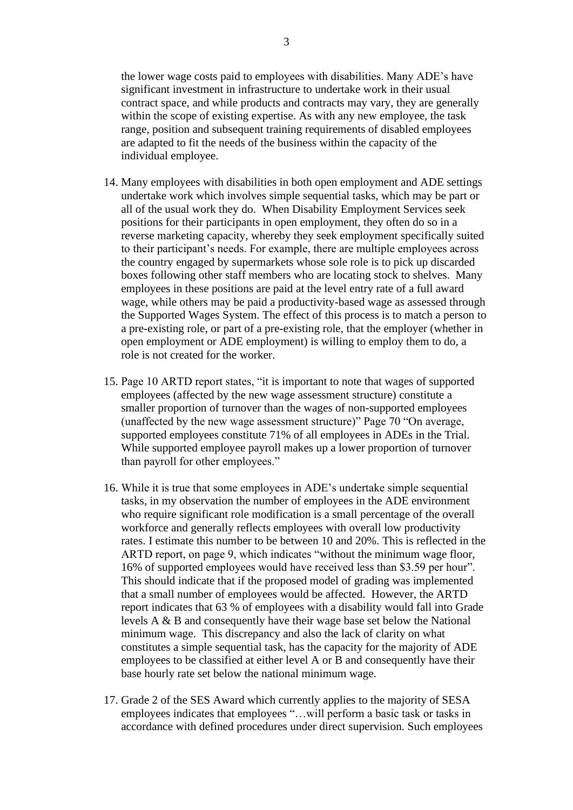the lower wage costs paid to employees with disabilities. Many ADE's have significant investment in infrastructure to undertake work in their usual contract space, and while products and contracts may vary, they are generally within the scope of existing expertise. As with any new employee, the task range, position and subsequent training requirements of disabled employees are adapted to fit the needs of the business within the capacity of the individual employee.

- 14. Many employees with disabilities in both open employment and ADE settings undertake work which involves simple sequential tasks, which may be part or all of the usual work they do. When Disability Employment Services seek positions for their participants in open employment, they often do so in a reverse marketing capacity, whereby they seek employment specifically suited to their participant's needs. For example, there are multiple employees across the country engaged by supermarkets whose sole role is to pick up discarded boxes following other staff members who are locating stock to shelves. Many employees in these positions are paid at the level entry rate of a full award wage, while others may be paid a productivity-based wage as assessed through the Supported Wages System. The effect of this process is to match a person to a pre-existing role, or part of a pre-existing role, that the employer (whether in open employment or ADE employment) is willing to employ them to do, a role is not created for the worker.
- 15. Page 10 ARTD report states, "it is important to note that wages of supported employees (affected by the new wage assessment structure) constitute a smaller proportion of turnover than the wages of non-supported employees (unaffected by the new wage assessment structure)" Page 70 "On average, supported employees constitute 71% of all employees in ADEs in the Trial. While supported employee payroll makes up a lower proportion of turnover than payroll for other employees."
- 16. While it is true that some employees in ADE's undertake simple sequential tasks, in my observation the number of employees in the ADE environment who require significant role modification is a small percentage of the overall workforce and generally reflects employees with overall low productivity rates. I estimate this number to be between 10 and 20%. This is reflected in the ARTD report, on page 9, which indicates "without the minimum wage floor, 16% of supported employees would have received less than \$3.59 per hour". This should indicate that if the proposed model of grading was implemented that a small number of employees would be affected. However, the ARTD report indicates that 63 % of employees with a disability would fall into Grade levels A & B and consequently have their wage base set below the National minimum wage. This discrepancy and also the lack of clarity on what constitutes a simple sequential task, has the capacity for the majority of ADE employees to be classified at either level A or B and consequently have their base hourly rate set below the national minimum wage.
- 17. Grade 2 of the SES Award which currently applies to the majority of SESA employees indicates that employees "…will perform a basic task or tasks in accordance with defined procedures under direct supervision. Such employees